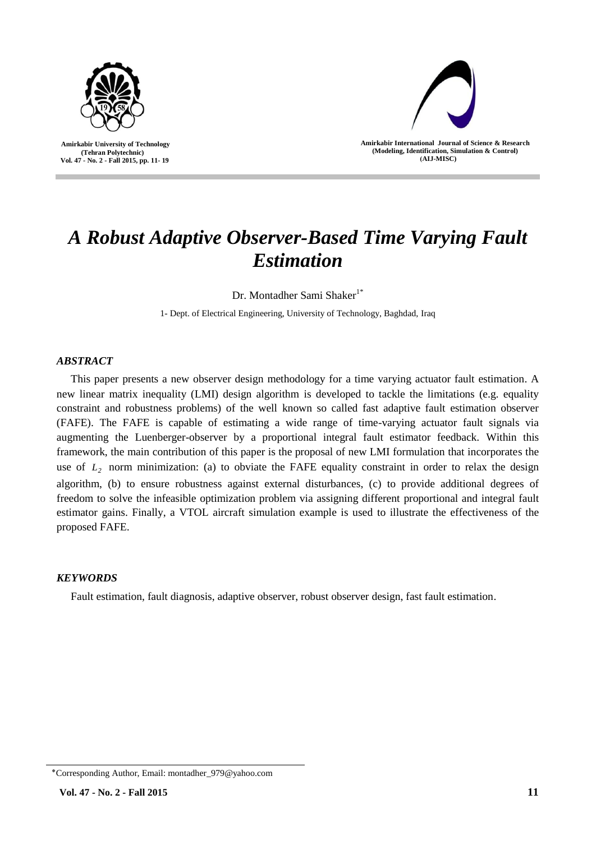



**Amirkabir International Journal of Science & Research (Modeling, Identification, Simulation & Control) )AIJ-MISC)**

# *A Robust Adaptive Observer-Based Time Varying Fault Estimation*

Dr. Montadher Sami Shaker<sup>1\*</sup>

1- Dept. of Electrical Engineering, University of Technology, Baghdad, Iraq

# *ABSTRACT*

This paper presents a new observer design methodology for a time varying actuator fault estimation. A new linear matrix inequality (LMI) design algorithm is developed to tackle the limitations (e.g. equality constraint and robustness problems) of the well known so called fast adaptive fault estimation observer (FAFE). The FAFE is capable of estimating a wide range of time-varying actuator fault signals via augmenting the Luenberger-observer by a proportional integral fault estimator feedback. Within this framework, the main contribution of this paper is the proposal of new LMI formulation that incorporates the use of  $L_2$  norm minimization: (a) to obviate the FAFE equality constraint in order to relax the design algorithm, (b) to ensure robustness against external disturbances, (c) to provide additional degrees of freedom to solve the infeasible optimization problem via assigning different proportional and integral fault estimator gains. Finally, a VTOL aircraft simulation example is used to illustrate the effectiveness of the proposed FAFE.

# *KEYWORDS*

Fault estimation, fault diagnosis, adaptive observer, robust observer design, fast fault estimation.

<sup>٭</sup>Corresponding Author, Email: montadher\_979@yahoo.com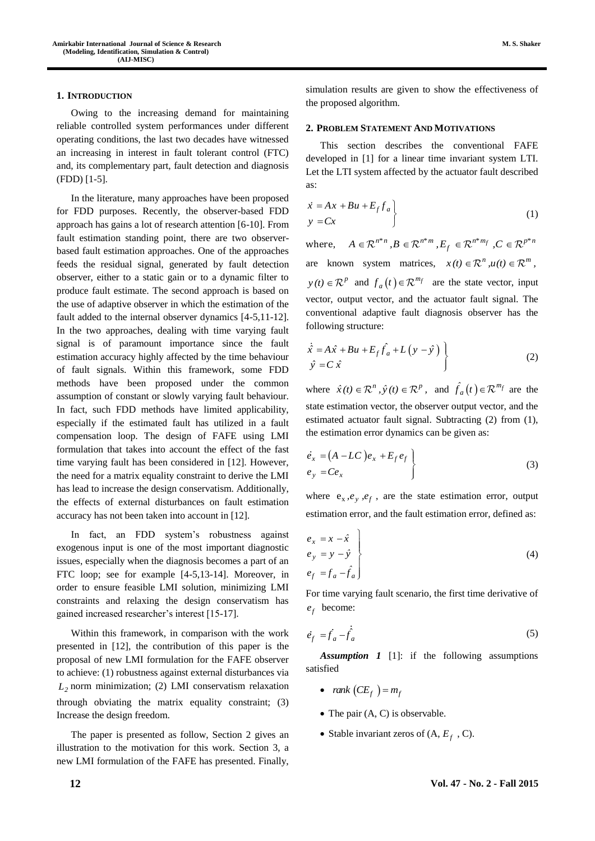#### **1. INTRODUCTION**

Owing to the increasing demand for maintaining reliable controlled system performances under different operating conditions, the last two decades have witnessed an increasing in interest in fault tolerant control (FTC) and, its complementary part, fault detection and diagnosis (FDD) [1-5].

In the literature, many approaches have been proposed for FDD purposes. Recently, the observer-based FDD approach has gains a lot of research attention [6-10]. From fault estimation standing point, there are two observerbased fault estimation approaches. One of the approaches feeds the residual signal, generated by fault detection observer, either to a static gain or to a dynamic filter to produce fault estimate. The second approach is based on the use of adaptive observer in which the estimation of the fault added to the internal observer dynamics [4-5,11-12]. In the two approaches, dealing with time varying fault signal is of paramount importance since the fault estimation accuracy highly affected by the time behaviour of fault signals. Within this framework, some FDD methods have been proposed under the common assumption of constant or slowly varying fault behaviour. In fact, such FDD methods have limited applicability, especially if the estimated fault has utilized in a fault compensation loop. The design of FAFE using LMI formulation that takes into account the effect of the fast time varying fault has been considered in [12]. However, the need for a matrix equality constraint to derive the LMI has lead to increase the design conservatism. Additionally, the effects of external disturbances on fault estimation accuracy has not been taken into account in [12].

In fact, an FDD system's robustness against exogenous input is one of the most important diagnostic issues, especially when the diagnosis becomes a part of an FTC loop; see for example [4-5,13-14]. Moreover, in order to ensure feasible LMI solution, minimizing LMI constraints and relaxing the design conservatism has gained increased researcher's interest [15-17].

Within this framework, in comparison with the work presented in [12], the contribution of this paper is the proposal of new LMI formulation for the FAFE observer to achieve: (1) robustness against external disturbances via *L2* norm minimization; (2) LMI conservatism relaxation through obviating the matrix equality constraint; (3) Increase the design freedom.

The paper is presented as follow, Section 2 gives an illustration to the motivation for this work. Section 3, a new LMI formulation of the FAFE has presented. Finally,

**M. S. Shaker**

simulation results are given to show the effectiveness of the proposed algorithm.

#### **2. PROBLEM STATEMENT AND MOTIVATIONS**

This section describes the conventional FAFE developed in [1] for a linear time invariant system LTI. Let the LTI system affected by the actuator fault described as:

$$
\begin{aligned}\n\dot{x} &= A x + B u + E_f f_a \\
y &= C x\n\end{aligned}
$$
\n(1)

where,  $A \in \mathbb{R}^{n*n}$ ,  $B \in \mathbb{R}^{n*m}$ ,  $E_f \in \mathbb{R}^{n*m_f}$ ,  $C \in \mathbb{R}^{p*n_f}$ are known system matrices,  $x(t) \in \mathbb{R}^n$ ,  $u(t) \in \mathbb{R}^m$ ,  $p(t) \in \mathbb{R}^p$  and  $f_a(t) \in \mathbb{R}^{m_f}$  are the state vector, input vector, output vector, and the actuator fault signal. The conventional adaptive fault diagnosis observer has the following structure:

$$
\dot{\hat{x}} = A\hat{x} + Bu + E_f \hat{f}_a + L(y - \hat{y})
$$
  
\n
$$
\hat{y} = C \hat{x}
$$
\n(2)

where  $\hat{x}(t) \in \mathbb{R}^n$ ,  $\hat{y}(t) \in \mathbb{R}^p$ , and  $\hat{f}_a(t) \in \mathbb{R}^{m_f}$  are the state estimation vector, the observer output vector, and the estimated actuator fault signal. Subtracting (2) from (1), the estimation error dynamics can be given as:

$$
\begin{aligned}\n\dot{e}_x &= (A - LC) e_x + E_f e_f \\
e_y &= Ce_x\n\end{aligned}
$$
\n(3)

where  $e_x$ ,  $e_y$ ,  $e_f$ , are the state estimation error, output estimation error, and the fault estimation error, defined as:

$$
\begin{aligned}\ne_x &= x - \hat{x} \\
e_y &= y - \hat{y} \\
e_f &= f_a - \hat{f}_a\n\end{aligned}
$$
\n(4)

For time varying fault scenario, the first time derivative of *f e* become:

$$
\dot{e}_f = \dot{f}_a - \dot{\dot{f}}_a \tag{5}
$$

*Assumption 1* [1]: if the following assumptions satisfied

- $rank (CE_f) = m_f$
- $\bullet$  The pair  $(A, C)$  is observable.
- Stable invariant zeros of  $(A, E_f, C)$ .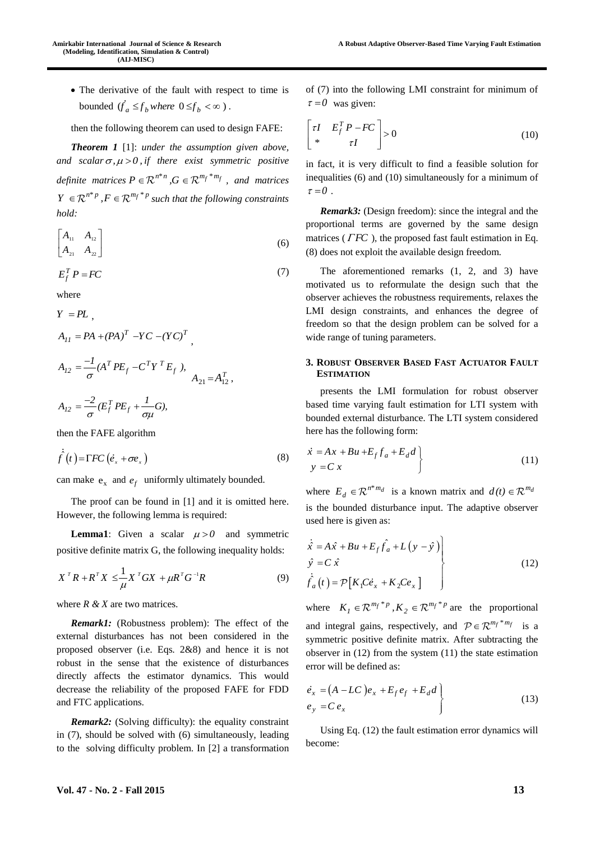The derivative of the fault with respect to time is bounded  $(\dot{f}_a \leq f_b$  *where*  $0 \leq f_b < \infty$ ).

then the following theorem can used to design FAFE:

*Theorem 1* [1]: *under the assumption given above,*  and scalar  $\sigma$ ,  $\mu$  > 0, if there exist symmetric positive *definite matrices*  $P \in \mathbb{R}^{n*n}$ ,  $G \in \mathbb{R}^{m_f * m_f}$ , and matrices  $Y \in \mathbb{R}^{n^*p}$ ,  $F \in \mathbb{R}^{m_f * p}$  such that the following constraints *hold:*

$$
\begin{bmatrix} A_{11} & A_{12} \\ A_{21} & A_{22} \end{bmatrix}
$$
 (6)

$$
E_f^T P = F C \tag{7}
$$

where

 $Y = PL$ 

$$
A_{II} = PA + (PA)^{T} - YC - (YC)^{T}
$$
  

$$
A_{I2} = \frac{-I}{\sigma} (A^{T} PE_{f} - C^{T} Y^{T} E_{f}),
$$

$$
A_{21} = A_{12}^{T},
$$

 $A_{12} = \frac{-2}{\sigma} (E_f^T P E_f + \frac{1}{\sigma \mu} G),$  $=\frac{-2}{\pi} (E_f^T P E_f + \frac{1}{\pi})$ 

then the FAFE algorithm

$$
\hat{f}(t) = \Gamma FC \left( \dot{e}_x + \sigma e_x \right) \tag{8}
$$

can make  $e_x$  and  $e_f$  uniformly ultimately bounded.

The proof can be found in [1] and it is omitted here. However, the following lemma is required:

**Lemma1**: Given a scalar  $\mu > 0$  and symmetric positive definite matrix G, the following inequality holds:

$$
X^T R + R^T X \leq \frac{1}{\mu} X^T G X + \mu R^T G^{-1} R \tag{9}
$$

where *R & X* are two matrices.

*Remark1:* (Robustness problem): The effect of the external disturbances has not been considered in the proposed observer (i.e. Eqs. 2&8) and hence it is not robust in the sense that the existence of disturbances directly affects the estimator dynamics. This would decrease the reliability of the proposed FAFE for FDD and FTC applications.

*Remark2:* (Solving difficulty): the equality constraint in (7), should be solved with (6) simultaneously, leading to the solving difficulty problem. In [2] a transformation of (7) into the following LMI constraint for minimum of  $\tau = 0$  was given:

$$
\begin{bmatrix} \tau I & E_f^T P - F C \\ * & \tau I \end{bmatrix} > 0 \tag{10}
$$

in fact, it is very difficult to find a feasible solution for inequalities (6) and (10) simultaneously for a minimum of  $\tau = 0$ .

*Remark3:* (Design freedom): since the integral and the proportional terms are governed by the same design matrices ( $\Gamma$ *FC*), the proposed fast fault estimation in Eq. (8) does not exploit the available design freedom.

The aforementioned remarks (1, 2, and 3) have motivated us to reformulate the design such that the observer achieves the robustness requirements, relaxes the LMI design constraints, and enhances the degree of freedom so that the design problem can be solved for a wide range of tuning parameters.

## **3. ROBUST OBSERVER BASED FAST ACTUATOR FAULT ESTIMATION**

presents the LMI formulation for robust observer based time varying fault estimation for LTI system with bounded external disturbance. The LTI system considered here has the following form:

$$
\begin{aligned}\n\dot{x} &= Ax + Bu + E_f f_a + E_d d \\
y &= C x\n\end{aligned} \tag{11}
$$

where  $E_d \in \mathbb{R}^{n^* m_d}$  is a known matrix and  $d(t) \in \mathbb{R}^{m_a}$ is the bounded disturbance input. The adaptive observer used here is given as:

$$
\begin{aligned}\n\dot{\hat{x}} &= A\hat{x} + Bu + E_f \hat{f}_a + L(y - \hat{y}) \\
\hat{y} &= C \hat{x} \\
\dot{\hat{f}}_a(t) &= \mathcal{P}[K_1 C \dot{e}_x + K_2 C e_x]\n\end{aligned}
$$
\n(12)

where  $K_1 \in \mathbb{R}^{m_f * p}$ ,  $K_2 \in \mathbb{R}^{m_f * p}$  are the proportional and integral gains, respectively, and  $P \in \mathbb{R}^{m_f * m_f}$  is a symmetric positive definite matrix. After subtracting the observer in (12) from the system (11) the state estimation error will be defined as:

$$
\begin{aligned}\n\dot{e}_x &= (A - LC) e_x + E_f e_f + E_d d \\
e_y &= C e_x\n\end{aligned}
$$
\n(13)

Using Eq. (12) the fault estimation error dynamics will become: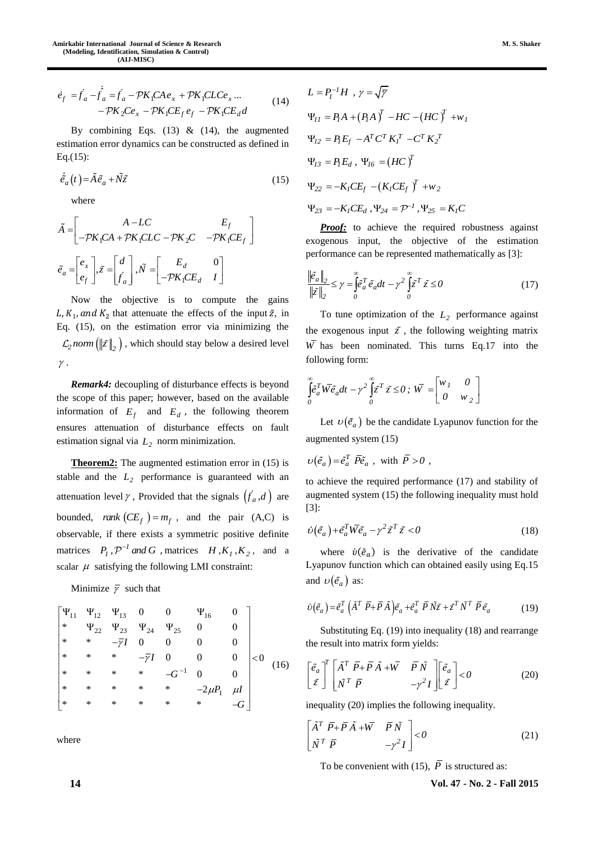$$
\dot{e}_f = \dot{f}_a - \dot{f}_a = \dot{f}_a - \mathcal{P}K_1CAe_x + \mathcal{P}K_1CLCe_x ...
$$
  
- $\mathcal{P}K_2Ce_x - \mathcal{P}K_1CE_f e_f - \mathcal{P}K_1CE_d d$  (14)

By combining Eqs.  $(13)$  &  $(14)$ , the augmented estimation error dynamics can be constructed as defined in Eq.(15):

$$
\dot{\tilde{e}}_a(t) = \tilde{A}\tilde{e}_a + \tilde{N}\tilde{z}
$$
\n(15)

where

$$
\tilde{A} = \begin{bmatrix} A - LC & E_f \\ -\mathcal{P}K_1CA + \mathcal{P}K_1CLC - \mathcal{P}K_2C & -\mathcal{P}K_1CE_f \end{bmatrix}
$$

$$
\tilde{e}_a = \begin{bmatrix} e_x \\ e_f \end{bmatrix}, \tilde{z} = \begin{bmatrix} d \\ f_a \end{bmatrix}, \tilde{N} = \begin{bmatrix} E_d & 0 \\ -\mathcal{P}K_1CE_d & I \end{bmatrix}
$$

Now the objective is to compute the gains L,  $K_1$ , and  $K_2$  that attenuate the effects of the input  $\tilde{z}$ , in Eq. (15), on the estimation error via minimizing the  $\sum_{i=2}^{\infty}$  *norm* ( $\|\tilde{z}\|_2$ ), which should stay below a desired level  $\gamma$ .

*Remark4:* decoupling of disturbance effects is beyond the scope of this paper; however, based on the available information of  $E_f$  and  $E_d$ , the following theorem ensures attenuation of disturbance effects on fault estimation signal via  $L_2$  norm minimization.

**Theorem2:** The augmented estimation error in (15) is stable and the  $L_2$  performance is guaranteed with an attenuation level  $\gamma$ , Provided that the signals  $(f_a, d)$  are bounded, *rank*  $(CE_f) = m_f$ , and the pair  $(A,C)$  is observable, if there exists a symmetric positive definite matrices  $P_1$ ,  $\mathcal{P}^{-1}$  and G , matrices  $H$ ,  $K_1$ ,  $K_2$ , and a scalar  $\mu$  satisfying the following LMI constraint:

Minimize  $\bar{\gamma}$  such that

$$
\begin{bmatrix}\n\Psi_{11} & \Psi_{12} & \Psi_{13} & 0 & 0 & \Psi_{16} & 0 \\
\ast & \Psi_{22} & \Psi_{23} & \Psi_{24} & \Psi_{25} & 0 & 0 \\
\ast & \ast & -7I & 0 & 0 & 0 & 0 \\
\ast & \ast & \ast & -7I & 0 & 0 & 0 \\
\ast & \ast & \ast & \ast & -G^{-1} & 0 & 0 \\
\ast & \ast & \ast & \ast & \ast & -2\mu P_1 & \mu I \\
\ast & \ast & \ast & \ast & \ast & \ast & -G\n\end{bmatrix} < 0
$$
\n(16)

where

$$
L = P_I^{-1} H , \gamma = \sqrt{\overline{\gamma}}
$$
  
\n
$$
\Psi_{II} = P_I A + (P_I A)^T - H C - (H C)^T + w_I
$$
  
\n
$$
\Psi_{I2} = P_I E_f - A^T C^T K_I^T - C^T K_2^T
$$
  
\n
$$
\Psi_{I3} = P_I E_d , \Psi_{I6} = (H C)^T
$$
  
\n
$$
\Psi_{22} = -K_I C E_f - (K_I C E_f)^T + w_2
$$
  
\n
$$
\Psi_{23} = -K_I C E_d , \Psi_{24} = \mathcal{P}^{-1} , \Psi_{25} = K_I C
$$

*Proof:* to achieve the required robustness against exogenous input, the objective of the estimation performance can be represented mathematically as [3]:

$$
\frac{\left\|\tilde{e}_a\right\|_2}{\left\|\tilde{z}\right\|_2} \le \gamma = \int_0^\infty \tilde{e}_a^T \tilde{e}_a dt - \gamma^2 \int_0^\infty \tilde{z}^T \tilde{z} \le 0
$$
\n(17)

To tune optimization of the  $L_2$  performance against the exogenous input  $\tilde{z}$ , the following weighting matrix *W* has been nominated. This turns Eq.17 into the following form:

$$
\int_{0}^{\infty} \tilde{e}_a^T \overline{W} \tilde{e}_a dt - \gamma^2 \int_{0}^{\infty} \tilde{z}^T \tilde{z} \le 0; \ \overline{W} = \begin{bmatrix} w_I & 0 \\ 0 & w_2 \end{bmatrix}
$$

Let  $v(\tilde{e}_a)$  be the candidate Lyapunov function for the augmented system (15)

$$
\upsilon\big(\tilde{e}_a\big) = \tilde{e}_a^T \ \overline{P}\tilde{e}_a \ , \ \text{with} \ \overline{P} > 0 \ ,
$$

to achieve the required performance (17) and stability of augmented system (15) the following inequality must hold [3]:

$$
\dot{\nu}(\tilde{e}_a) + \tilde{e}_a^T \bar{W} \tilde{e}_a - \gamma^2 \tilde{z}^T \tilde{z} < 0 \tag{18}
$$

where  $\dot{v}(\tilde{e}_a)$  is the derivative of the candidate Lyapunov function which can obtained easily using Eq.15 and  $\nu(\tilde{e}_a)$  as:

$$
\dot{\nu}(\tilde{e}_a) = \tilde{e}_a^T \left( \tilde{A}^T \ \bar{P} + \bar{P} \tilde{A} \right) \tilde{e}_a + \tilde{e}_a^T \ \bar{P} \tilde{N} \tilde{z} + \tilde{z}^T \tilde{N}^T \ \bar{P} \tilde{e}_a \tag{19}
$$

Substituting Eq. (19) into inequality (18) and rearrange the result into matrix form yields:

$$
\begin{bmatrix} \tilde{e}_a \\ \tilde{z} \end{bmatrix}^T \begin{bmatrix} \tilde{A}^T \ \bar{P} + \bar{P} \ \tilde{A} + \bar{W} & \bar{P} \ \tilde{N} \\ \tilde{N}^T \ \bar{P} & -\gamma^2 I \end{bmatrix} \begin{bmatrix} \tilde{e}_a \\ \tilde{z} \end{bmatrix} < 0 \tag{20}
$$

inequality (20) implies the following inequality.

$$
\begin{bmatrix} \tilde{A}^T & \bar{P} + \bar{P}\,\tilde{A} + \bar{W} & \bar{P}\,\tilde{N} \\ \tilde{N}^T & \bar{P} & -\gamma^2 I \end{bmatrix} < 0 \tag{21}
$$

To be convenient with (15),  $\overline{P}$  is structured as:

**14 Vol. 47 - No. 2 - Fall 2015**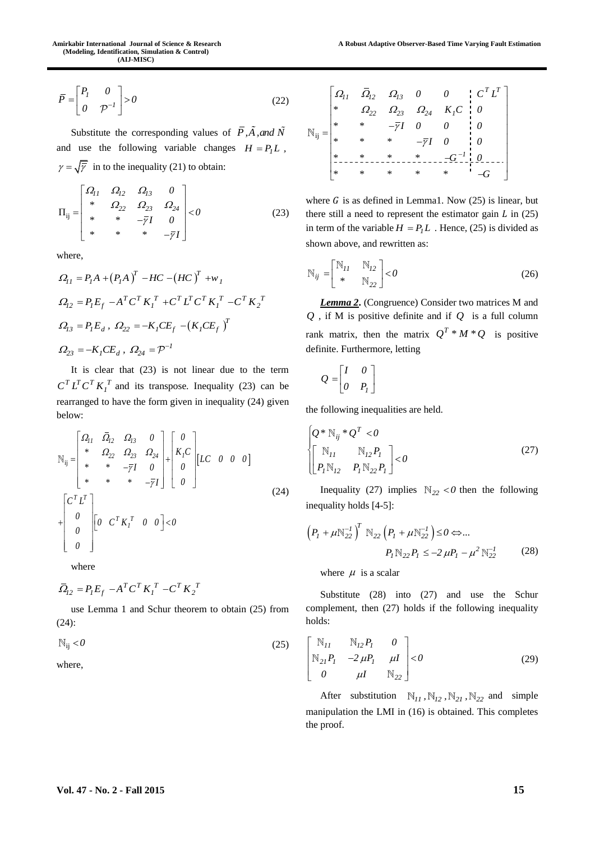$$
\overline{P} = \begin{bmatrix} P_l & 0 \\ 0 & \mathcal{P}^{-l} \end{bmatrix} > 0 \tag{22}
$$

Substitute the corresponding values of P, A, and N and use the following variable changes  $H = P<sub>l</sub> L$ ,  $\gamma = \sqrt{\overline{\gamma}}$  in to the inequality (21) to obtain:

$$
\Pi_{ij} = \begin{bmatrix} \Omega_{11} & \Omega_{12} & \Omega_{13} & 0 \\ * & \Omega_{22} & \Omega_{23} & \Omega_{24} \\ * & * & -\overline{\gamma}I & 0 \\ * & * & * & -\overline{\gamma}I \end{bmatrix} < 0
$$
 (23)

where,

$$
\Omega_{11} = P_I A + (P_I A)^T - HC - (HC)^T + w_I
$$
  
\n
$$
\Omega_{12} = P_I E_f - A^T C^T K_I^T + C^T L^T C^T K_I^T - C^T K_I^T
$$
  
\n
$$
\Omega_{13} = P_I E_d, \ \Omega_{22} = -K_I C E_f - (K_I C E_f)^T
$$
  
\n
$$
\Omega_{23} = -K_I C E_d, \ \Omega_{24} = \mathcal{P}^{-1}
$$

It is clear that (23) is not linear due to the term  $C^T L^T C^T K_I^T$  and its transpose. Inequality (23) can be rearranged to have the form given in inequality (24) given below:

$$
\vec{P} = \begin{bmatrix} I_1 & 0 & 0 \\ 0 & P^{-1} \end{bmatrix} > 0
$$
\n(22) 
$$
\vec{P} = \begin{bmatrix} I_1 & 0 & 0 \\ 0 & P^{-1} \end{bmatrix} > 0
$$
\n(23) 
$$
\vec{P} = \begin{bmatrix} I_2 & 0 & 0 \\ 0 & 0 & 0 \\ 0 & 0 & 0 \\ 0 & 0 & 0 \\ 0 & 0 & 0 \\ 0 & 0 & 0 \\ 0 & 0 & 0 \\ 0 & 0 & 0 \\ 0 & 0 & 0 \\ 0 & 0 & 0 \\ 0 & 0 & 0 \\ 0 & 0 & 0 \\ 0 & 0 & 0 \\ 0 & 0 & 0 \\ 0 & 0 & 0 \\ 0 & 0 & 0 \\ 0 & 0 & 0 \\ 0 & 0 & 0 \\ 0 & 0 & 0 \\ 0 & 0 & 0 \\ 0 & 0 & 0 \\ 0 & 0 & 0 \\ 0 & 0 & 0 \\ 0 & 0 & 0 \\ 0 & 0 & 0 \\ 0 & 0 & 0 \\ 0 & 0 & 0 \\ 0 & 0 & 0 \\ 0 & 0 & 0 \\ 0 & 0 & 0 \\ 0 & 0 & 0 \\ 0 & 0 & 0 \\ 0 & 0 & 0 \\ 0 & 0 & 0 \\ 0 & 0 & 0 \\ 0 & 0 & 0 \\ 0 & 0 & 0 \\ 0 & 0 & 0 \\ 0 & 0 & 0 \\ 0 & 0 & 0 \\ 0 & 0 & 0 \\ 0 & 0 & 0 \\ 0 & 0 & 0 \\ 0 & 0 & 0 \\ 0 & 0 & 0 \\ 0 & 0 & 0 \\ 0 & 0 & 0 \\ 0 & 0 & 0 \\ 0 & 0 & 0 \\ 0 & 0 & 0 \\ 0 & 0 & 0 \\ 0 & 0 & 0 \\ 0 & 0 & 0 \\ 0 & 0 & 0 \\ 0 & 0 & 0 \\ 0 & 0 & 0 \\ 0 & 0 & 0 \\ 0 & 0 & 0 \\ 0 & 0 & 0 \\ 0 & 0 & 0 \\ 0 & 0 & 0 \\ 0 & 0 & 0 \\ 0 & 0 & 0 \\ 0 & 0 & 0 \\ 0 & 0 & 0 \\ 0 & 0 & 0 \\ 0 & 0 & 0 \\ 0 & 0 & 0 \\ 0 & 0 & 0 \\ 0 & 0 & 0 \\ 0 & 0 & 0 \\ 0 & 0 &
$$

where

$$
\overline{\Omega}_{I2} = P_I E_f - A^T C^T K_I^T - C^T K_2^T
$$

use Lemma 1 and Schur theorem to obtain (25) from (24):

$$
\mathbb{N}_{ij} < 0 \tag{25}
$$

where,

$$
\mathbb{N}_{ij} = \begin{bmatrix} \Omega_{11} & \overline{\Omega}_{12} & \Omega_{13} & 0 & 0 & \vdots & C^T L^T \\ * & \Omega_{22} & \Omega_{23} & \Omega_{24} & K_1 C & 0 \\ * & * & -\overline{\gamma}I & 0 & 0 & 0 \\ * & * & * & -\overline{\gamma}I & 0 & 0 \\ * & * & * & * & -\overline{\gamma}I & 0 & 0 \\ * & * & * & * & * & -G \end{bmatrix}
$$

where  $G$  is as defined in Lemma1. Now (25) is linear, but there still a need to represent the estimator gain  $L$  in (25) in term of the variable  $H = P<sub>I</sub> L$ . Hence, (25) is divided as shown above, and rewritten as:

$$
N_{ij} = \begin{bmatrix} N_{11} & N_{12} \\ * & N_{22} \end{bmatrix} < 0
$$
 (26)

*Lemma 2***.** (Congruence) Consider two matrices M and *Q* , if M is positive definite and if *Q* is a full column rank matrix, then the matrix  $Q^T * M * Q$  is positive definite. Furthermore, letting

$$
Q = \begin{bmatrix} I & 0 \\ 0 & P_I \end{bmatrix}
$$

the following inequalities are held.

$$
\begin{cases} Q * \mathbb{N}_{ij} * Q^T < 0 \\ \begin{bmatrix} \mathbb{N}_{11} & \mathbb{N}_{12} P_l \\ P_I \mathbb{N}_{12} & P_I \mathbb{N}_{22} P_I \end{bmatrix} < 0 \end{cases} \tag{27}
$$

Inequality (27) implies  $\mathbb{N}_{22} < 0$  then the following inequality holds [4-5]:

$$
\left(P_{1} + \mu \mathbb{N}_{22}^{-1}\right)^{T} \mathbb{N}_{22} \left(P_{1} + \mu \mathbb{N}_{22}^{-1}\right) \leq 0 \Leftrightarrow ...
$$

$$
P_{1} \mathbb{N}_{22} P_{1} \leq -2 \mu P_{1} - \mu^{2} \mathbb{N}_{22}^{-1}
$$
(28)

where  $\mu$  is a scalar

Substitute (28) into (27) and use the Schur complement, then (27) holds if the following inequality holds:

$$
\begin{bmatrix}\n\mathbb{N}_{11} & \mathbb{N}_{12}P_1 & 0 \\
\mathbb{N}_{21}P_1 & -2\mu P_1 & \mu I \\
0 & \mu I & \mathbb{N}_{22}\n\end{bmatrix} < 0
$$
\n(29)

After substitution  $\mathbb{N}_{11}$ ,  $\mathbb{N}_{12}$ ,  $\mathbb{N}_{21}$ ,  $\mathbb{N}_{22}$  and simple manipulation the LMI in (16) is obtained. This completes the proof.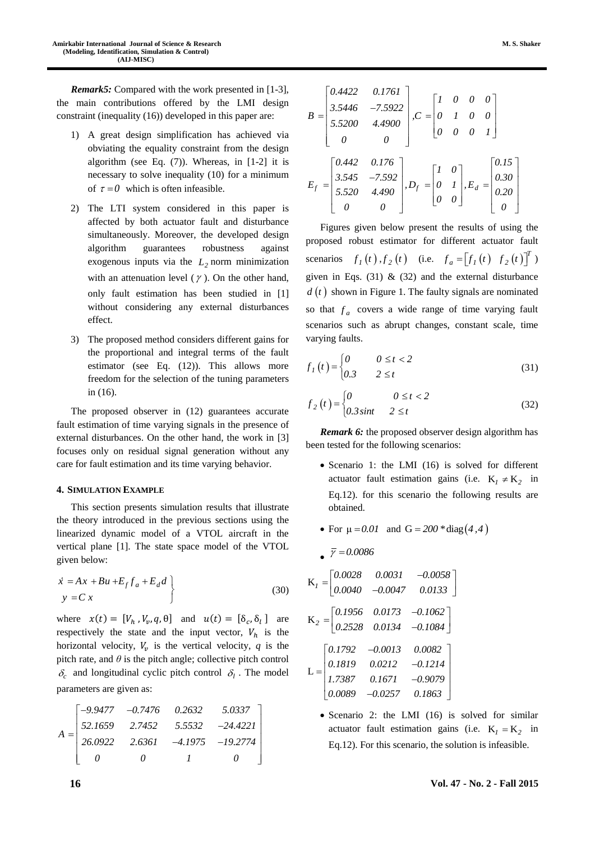*Remark5:* Compared with the work presented in [1-3], the main contributions offered by the LMI design constraint (inequality (16)) developed in this paper are:

- 1) A great design simplification has achieved via obviating the equality constraint from the design algorithm (see Eq.  $(7)$ ). Whereas, in [1-2] it is necessary to solve inequality (10) for a minimum of  $\tau = 0$  which is often infeasible.
- 2) The LTI system considered in this paper is affected by both actuator fault and disturbance simultaneously. Moreover, the developed design algorithm guarantees robustness against exogenous inputs via the  $L_2$  norm minimization with an attenuation level  $(\gamma)$ . On the other hand, only fault estimation has been studied in [1] without considering any external disturbances effect.
- 3) The proposed method considers different gains for the proportional and integral terms of the fault estimator (see Eq. (12)). This allows more freedom for the selection of the tuning parameters in (16).

The proposed observer in (12) guarantees accurate fault estimation of time varying signals in the presence of external disturbances. On the other hand, the work in [3] focuses only on residual signal generation without any care for fault estimation and its time varying behavior.

### **4. SIMULATION EXAMPLE**

This section presents simulation results that illustrate the theory introduced in the previous sections using the linearized dynamic model of a VTOL aircraft in the vertical plane [1]. The state space model of the VTOL given below:

$$
\begin{aligned}\n\dot{x} &= Ax + Bu + E_f f_a + E_d d \\
y &= C x\n\end{aligned}\n\bigg\} \tag{30}
$$

where  $x(t) = [V_h, V_v, q, \theta]$  and  $u(t) = [\delta_c, \delta_l]$  are respectively the state and the input vector,  $V_h$  is the horizontal velocity,  $V_v$  is the vertical velocity,  $q$  is the pitch rate, and  $\theta$  is the pitch angle; collective pitch control  $\delta_c$  and longitudinal cyclic pitch control  $\delta_l$ . The model parameters are given as:

$$
A = \begin{bmatrix} -9.9477 & -0.7476 & 0.2632 & 5.0337 \\ 52.1659 & 2.7452 & 5.5532 & -24.4221 \\ 26.0922 & 2.6361 & -4.1975 & -19.2774 \\ 0 & 0 & 1 & 0 \end{bmatrix}
$$

| $B = \begin{bmatrix} 0.4422 & 0.1761 \\ 3.5446 & -7.5922 \\ 5.5200 & 4.4900 \\ 0 & 0 \end{bmatrix}, C = \begin{bmatrix} I & 0 & 0 & 0 \\ 0 & I & 0 & 0 \\ 0 & 0 & 0 & I \end{bmatrix}$                |  |
|-------------------------------------------------------------------------------------------------------------------------------------------------------------------------------------------------------|--|
| $E_f=\begin{bmatrix} 0.442 & 0.176\\3.545 & -7.592\\5.520 & 4.490\\0 & 0 \end{bmatrix}, D_f=\begin{bmatrix} I & 0\\0 & I\\0 & 0 \end{bmatrix}, E_d=\begin{bmatrix} 0.15\\0.30\\0.20\\0 \end{bmatrix}$ |  |

Figures given below present the results of using the proposed robust estimator for different actuator fault scenarios  $f_1(t)$ ,  $f_2(t)$  (i.e.  $f_a = [f_1(t) \ f_2(t)]^T$ ) given in Eqs.  $(31)$  &  $(32)$  and the external disturbance  $d(t)$  shown in Figure 1. The faulty signals are nominated so that  $f_a$  covers a wide range of time varying fault scenarios such as abrupt changes, constant scale, time varying faults.

$$
f_I(t) = \begin{cases} 0 & 0 \le t < 2 \\ 0.3 & 2 \le t \end{cases} \tag{31}
$$

$$
f_2(t) = \begin{cases} 0 & 0 \le t < 2 \\ 0.3\sin t & 2 \le t \end{cases}
$$
 (32)

*Remark* 6: the proposed observer design algorithm has been tested for the following scenarios:

- Scenario 1: the LMI (16) is solved for different actuator fault estimation gains (i.e.  $K_1 \neq K_2$  in Eq.12). for this scenario the following results are obtained.
- For  $\mu = 0.01$  and  $G = 200 * diag(4, 4)$

$$
K_{I} = \begin{bmatrix} 0.0028 & 0.0031 & -0.0058 \\ 0.0040 & -0.0047 & 0.0133 \end{bmatrix}
$$
  
\n
$$
K_{2} = \begin{bmatrix} 0.1956 & 0.0173 & -0.1062 \\ 0.2528 & 0.0134 & -0.1084 \end{bmatrix}
$$
  
\n
$$
L = \begin{bmatrix} 0.1792 & -0.0013 & 0.0082 \\ 0.1819 & 0.0212 & -0.1214 \\ 1.7387 & 0.1671 & -0.9079 \\ 0.0089 & -0.0257 & 0.1863 \end{bmatrix}
$$

*0.0086*

 Scenario 2: the LMI (16) is solved for similar actuator fault estimation gains (i.e.  $K_1 = K_2$  in Eq.12). For this scenario, the solution is infeasible.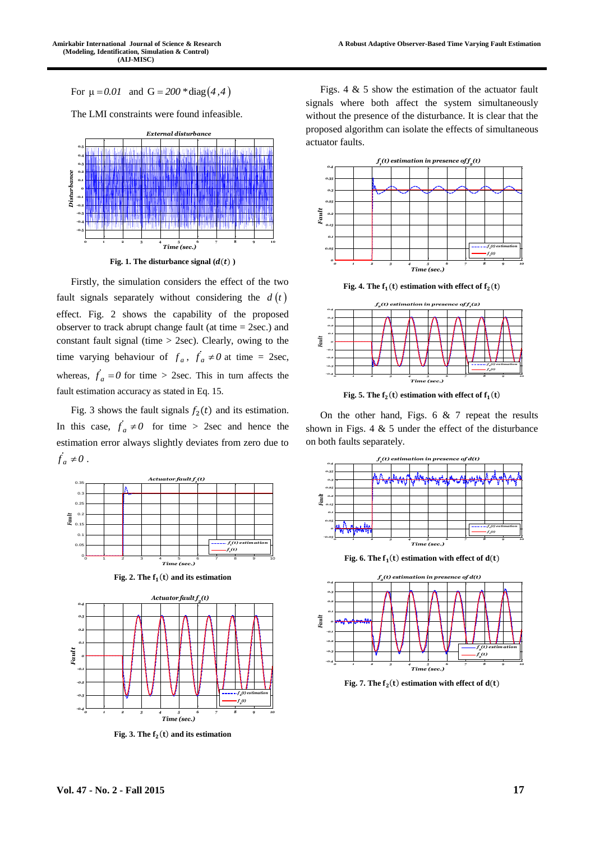For  $\mu = 0.01$  and  $G = 200 * diag(4, 4)$ 

The LMI constraints were found infeasible.



Fig. 1. The disturbance signal  $(d(t))$ 

Firstly, the simulation considers the effect of the two fault signals separately without considering the  $d(t)$ effect. Fig. 2 shows the capability of the proposed observer to track abrupt change fault (at time  $= 2$ sec.) and constant fault signal (time  $>$  2sec). Clearly, owing to the time varying behaviour of  $f_a$ ,  $f_a \neq 0$  at time = 2sec, whereas,  $\dot{f}_a = 0$  for time > 2sec. This in turn affects the fault estimation accuracy as stated in Eq. 15.

Fig. 3 shows the fault signals  $f_2(t)$  and its estimation. In this case,  $f_a \neq 0$  for time > 2sec and hence the estimation error always slightly deviates from zero due to  $\ddot{f}_a \neq 0$ .





**Fig. 3. The** () **and its estimation**

Figs. 4  $\&$  5 show the estimation of the actuator fault signals where both affect the system simultaneously without the presence of the disturbance. It is clear that the proposed algorithm can isolate the effects of simultaneous actuator faults.



Fig. 4. The  $f_1(t)$  estimation with effect of  $f_2(t)$ 



Fig. 5. The  $f_2(t)$  estimation with effect of  $f_1(t)$ 

On the other hand, Figs.  $6 \& 7$  repeat the results shown in Figs. 4  $\&$  5 under the effect of the disturbance on both faults separately.



Fig. 7. The  $f_2(t)$  estimation with effect of  $d(t)$ 

*-0.4*

*0 1 2 3 4 5 6 7 8 9 10*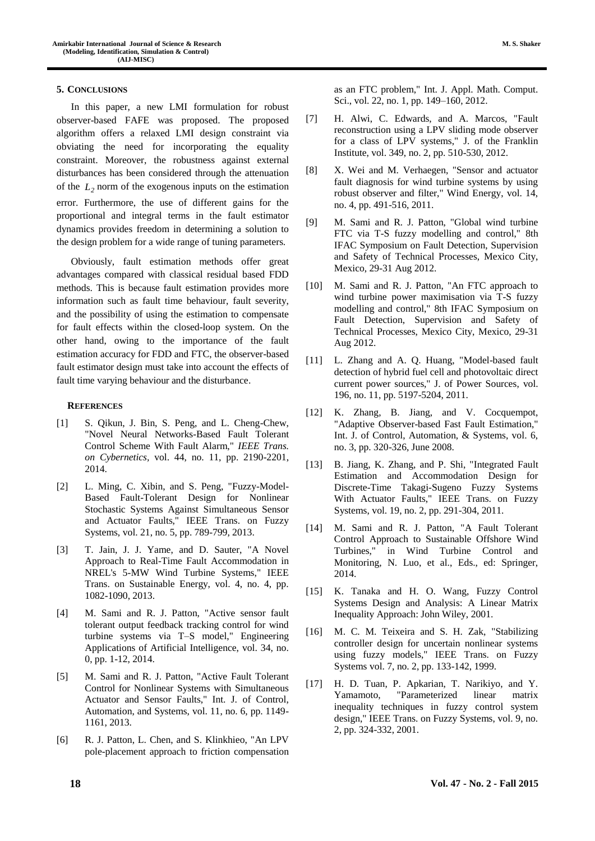## **5. CONCLUSIONS**

In this paper, a new LMI formulation for robust observer-based FAFE was proposed. The proposed algorithm offers a relaxed LMI design constraint via obviating the need for incorporating the equality constraint. Moreover, the robustness against external disturbances has been considered through the attenuation of the *L2* norm of the exogenous inputs on the estimation error. Furthermore, the use of different gains for the proportional and integral terms in the fault estimator dynamics provides freedom in determining a solution to the design problem for a wide range of tuning parameters.

Obviously, fault estimation methods offer great advantages compared with classical residual based FDD methods. This is because fault estimation provides more information such as fault time behaviour, fault severity, and the possibility of using the estimation to compensate for fault effects within the closed-loop system. On the other hand, owing to the importance of the fault estimation accuracy for FDD and FTC, the observer-based fault estimator design must take into account the effects of fault time varying behaviour and the disturbance.

# **REFERENCES**

- [1] S. Qikun, J. Bin, S. Peng, and L. Cheng-Chew, "Novel Neural Networks-Based Fault Tolerant Control Scheme With Fault Alarm," *IEEE Trans. on Cybernetics,* vol. 44, no. 11, pp. 2190-2201, 2014.
- [2] L. Ming, C. Xibin, and S. Peng, "Fuzzy-Model-Based Fault-Tolerant Design for Nonlinear Stochastic Systems Against Simultaneous Sensor and Actuator Faults," IEEE Trans. on Fuzzy Systems, vol. 21, no. 5, pp. 789-799, 2013.
- [3] T. Jain, J. J. Yame, and D. Sauter, "A Novel Approach to Real-Time Fault Accommodation in NREL's 5-MW Wind Turbine Systems," IEEE Trans. on Sustainable Energy, vol. 4, no. 4, pp. 1082-1090, 2013.
- [4] M. Sami and R. J. Patton, "Active sensor fault tolerant output feedback tracking control for wind turbine systems via T–S model," Engineering Applications of Artificial Intelligence, vol. 34, no. 0, pp. 1-12, 2014.
- [5] M. Sami and R. J. Patton, "Active Fault Tolerant Control for Nonlinear Systems with Simultaneous Actuator and Sensor Faults," Int. J. of Control, Automation, and Systems, vol. 11, no. 6, pp. 1149- 1161, 2013.
- [6] R. J. Patton, L. Chen, and S. Klinkhieo, "An LPV pole-placement approach to friction compensation

as an FTC problem," Int. J. Appl. Math. Comput. Sci., vol. 22, no. 1, pp. 149–160, 2012.

- [7] H. Alwi, C. Edwards, and A. Marcos, "Fault reconstruction using a LPV sliding mode observer for a class of LPV systems," J. of the Franklin Institute, vol. 349, no. 2, pp. 510-530, 2012.
- [8] X. Wei and M. Verhaegen, "Sensor and actuator fault diagnosis for wind turbine systems by using robust observer and filter," Wind Energy, vol. 14, no. 4, pp. 491-516, 2011.
- [9] M. Sami and R. J. Patton, "Global wind turbine FTC via T-S fuzzy modelling and control," 8th IFAC Symposium on Fault Detection, Supervision and Safety of Technical Processes, Mexico City, Mexico, 29-31 Aug 2012.
- [10] M. Sami and R. J. Patton, "An FTC approach to wind turbine power maximisation via T-S fuzzy modelling and control," 8th IFAC Symposium on Fault Detection, Supervision and Safety of Technical Processes, Mexico City, Mexico, 29-31 Aug 2012.
- [11] L. Zhang and A. Q. Huang, "Model-based fault detection of hybrid fuel cell and photovoltaic direct current power sources," J. of Power Sources, vol. 196, no. 11, pp. 5197-5204, 2011.
- [12] K. Zhang, B. Jiang, and V. Cocquempot, "Adaptive Observer-based Fast Fault Estimation," Int. J. of Control, Automation, & Systems, vol. 6, no. 3, pp. 320-326, June 2008.
- [13] B. Jiang, K. Zhang, and P. Shi, "Integrated Fault Estimation and Accommodation Design for Discrete-Time Takagi-Sugeno Fuzzy Systems With Actuator Faults," IEEE Trans. on Fuzzy Systems, vol. 19, no. 2, pp. 291-304, 2011.
- [14] M. Sami and R. J. Patton, "A Fault Tolerant Control Approach to Sustainable Offshore Wind Turbines," in Wind Turbine Control and Monitoring, N. Luo, et al., Eds., ed: Springer, 2014.
- [15] K. Tanaka and H. O. Wang, Fuzzy Control Systems Design and Analysis: A Linear Matrix Inequality Approach: John Wiley, 2001.
- [16] M. C. M. Teixeira and S. H. Zak, "Stabilizing controller design for uncertain nonlinear systems using fuzzy models," IEEE Trans. on Fuzzy Systems vol. 7, no. 2, pp. 133-142, 1999.
- [17] H. D. Tuan, P. Apkarian, T. Narikiyo, and Y. Yamamoto, "Parameterized linear matrix inequality techniques in fuzzy control system design," IEEE Trans. on Fuzzy Systems, vol. 9, no. 2, pp. 324-332, 2001.